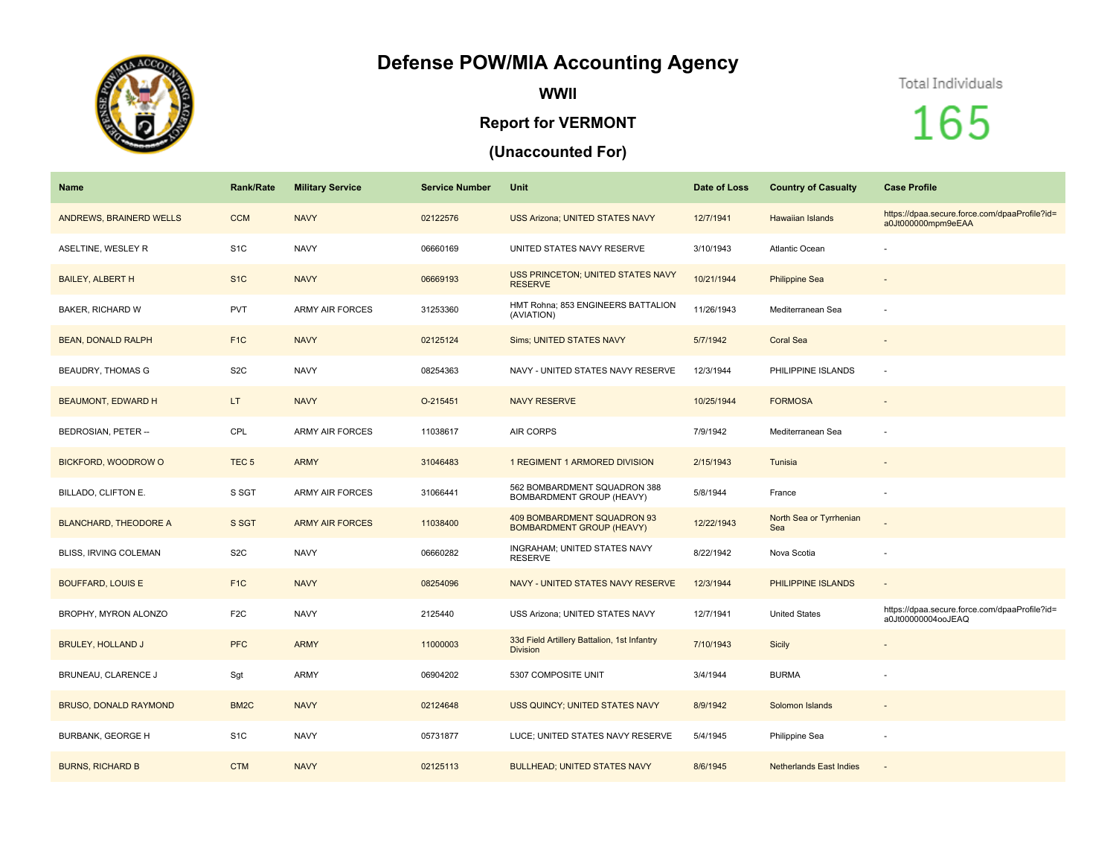## **Defense POW/MIA Accounting Agency**



**WWII**

## **Report for VERMONT**

## **(Unaccounted For)**

## Total Individuals

165

| Name                         | <b>Rank/Rate</b>  | <b>Military Service</b> | <b>Service Number</b> | Unit                                                            | Date of Loss | <b>Country of Casualty</b>     | <b>Case Profile</b>                                                 |
|------------------------------|-------------------|-------------------------|-----------------------|-----------------------------------------------------------------|--------------|--------------------------------|---------------------------------------------------------------------|
| ANDREWS, BRAINERD WELLS      | <b>CCM</b>        | <b>NAVY</b>             | 02122576              | <b>USS Arizona; UNITED STATES NAVY</b>                          | 12/7/1941    | <b>Hawaiian Islands</b>        | https://dpaa.secure.force.com/dpaaProfile?id=<br>a0Jt000000mpm9eEAA |
| ASELTINE, WESLEY R           | S <sub>1C</sub>   | <b>NAVY</b>             | 06660169              | UNITED STATES NAVY RESERVE                                      | 3/10/1943    | <b>Atlantic Ocean</b>          |                                                                     |
| <b>BAILEY, ALBERT H</b>      | S <sub>1C</sub>   | <b>NAVY</b>             | 06669193              | USS PRINCETON; UNITED STATES NAVY<br><b>RESERVE</b>             | 10/21/1944   | <b>Philippine Sea</b>          |                                                                     |
| <b>BAKER, RICHARD W</b>      | <b>PVT</b>        | <b>ARMY AIR FORCES</b>  | 31253360              | HMT Rohna; 853 ENGINEERS BATTALION<br>(AVIATION)                | 11/26/1943   | Mediterranean Sea              |                                                                     |
| <b>BEAN, DONALD RALPH</b>    | F <sub>1</sub> C  | <b>NAVY</b>             | 02125124              | <b>Sims; UNITED STATES NAVY</b>                                 | 5/7/1942     | <b>Coral Sea</b>               |                                                                     |
| <b>BEAUDRY, THOMAS G</b>     | S <sub>2</sub> C  | <b>NAVY</b>             | 08254363              | NAVY - UNITED STATES NAVY RESERVE                               | 12/3/1944    | PHILIPPINE ISLANDS             |                                                                     |
| <b>BEAUMONT, EDWARD H</b>    | LT.               | <b>NAVY</b>             | O-215451              | <b>NAVY RESERVE</b>                                             | 10/25/1944   | <b>FORMOSA</b>                 |                                                                     |
| BEDROSIAN, PETER --          | CPL               | <b>ARMY AIR FORCES</b>  | 11038617              | AIR CORPS                                                       | 7/9/1942     | Mediterranean Sea              |                                                                     |
| BICKFORD, WOODROW O          | TEC <sub>5</sub>  | <b>ARMY</b>             | 31046483              | 1 REGIMENT 1 ARMORED DIVISION                                   | 2/15/1943    | Tunisia                        |                                                                     |
| BILLADO, CLIFTON E.          | S SGT             | <b>ARMY AIR FORCES</b>  | 31066441              | 562 BOMBARDMENT SQUADRON 388<br>BOMBARDMENT GROUP (HEAVY)       | 5/8/1944     | France                         |                                                                     |
| <b>BLANCHARD, THEODORE A</b> | S SGT             | <b>ARMY AIR FORCES</b>  | 11038400              | 409 BOMBARDMENT SQUADRON 93<br><b>BOMBARDMENT GROUP (HEAVY)</b> | 12/22/1943   | North Sea or Tyrrhenian<br>Sea |                                                                     |
| BLISS, IRVING COLEMAN        | S <sub>2</sub> C  | <b>NAVY</b>             | 06660282              | <b>INGRAHAM: UNITED STATES NAVY</b><br><b>RESERVE</b>           | 8/22/1942    | Nova Scotia                    |                                                                     |
| <b>BOUFFARD, LOUIS E</b>     | F <sub>1</sub> C  | <b>NAVY</b>             | 08254096              | NAVY - UNITED STATES NAVY RESERVE                               | 12/3/1944    | PHILIPPINE ISLANDS             | $\sim$                                                              |
| BROPHY, MYRON ALONZO         | F <sub>2</sub> C  | <b>NAVY</b>             | 2125440               | USS Arizona; UNITED STATES NAVY                                 | 12/7/1941    | <b>United States</b>           | https://dpaa.secure.force.com/dpaaProfile?id=<br>a0Jt00000004ooJEAQ |
| <b>BRULEY, HOLLAND J</b>     | <b>PFC</b>        | <b>ARMY</b>             | 11000003              | 33d Field Artillery Battalion, 1st Infantry<br><b>Division</b>  | 7/10/1943    | <b>Sicily</b>                  |                                                                     |
| BRUNEAU, CLARENCE J          | Sgt               | <b>ARMY</b>             | 06904202              | 5307 COMPOSITE UNIT                                             | 3/4/1944     | <b>BURMA</b>                   |                                                                     |
| <b>BRUSO, DONALD RAYMOND</b> | BM <sub>2</sub> C | <b>NAVY</b>             | 02124648              | USS QUINCY; UNITED STATES NAVY                                  | 8/9/1942     | Solomon Islands                |                                                                     |
| <b>BURBANK, GEORGE H</b>     | S <sub>1</sub> C  | <b>NAVY</b>             | 05731877              | LUCE; UNITED STATES NAVY RESERVE                                | 5/4/1945     | Philippine Sea                 |                                                                     |
| <b>BURNS, RICHARD B</b>      | <b>CTM</b>        | <b>NAVY</b>             | 02125113              | <b>BULLHEAD; UNITED STATES NAVY</b>                             | 8/6/1945     | <b>Netherlands East Indies</b> |                                                                     |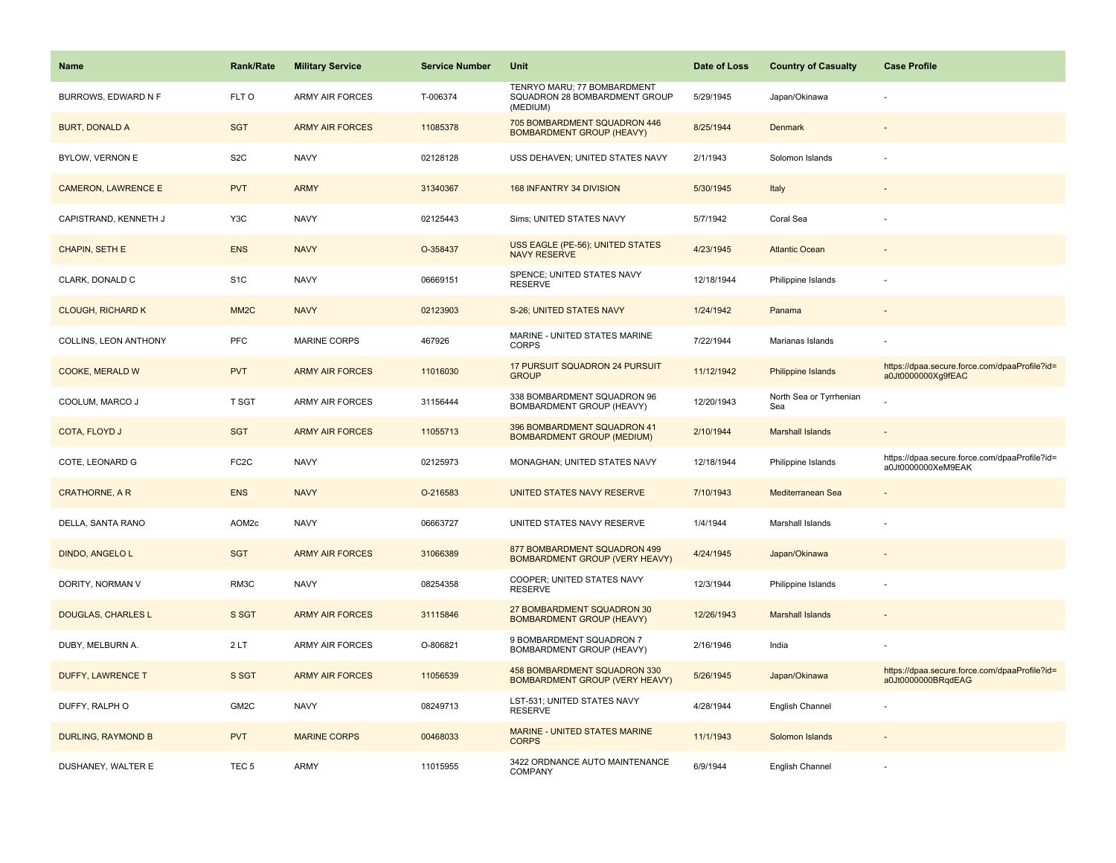| <b>Name</b>                | <b>Rank/Rate</b>  | <b>Military Service</b> | <b>Service Number</b> | Unit                                                                     | Date of Loss | <b>Country of Casualty</b>     | <b>Case Profile</b>                                                 |
|----------------------------|-------------------|-------------------------|-----------------------|--------------------------------------------------------------------------|--------------|--------------------------------|---------------------------------------------------------------------|
| BURROWS, EDWARD N F        | FLT O             | ARMY AIR FORCES         | T-006374              | TENRYO MARU; 77 BOMBARDMENT<br>SQUADRON 28 BOMBARDMENT GROUP<br>(MEDIUM) | 5/29/1945    | Japan/Okinawa                  |                                                                     |
| <b>BURT, DONALD A</b>      | <b>SGT</b>        | <b>ARMY AIR FORCES</b>  | 11085378              | 705 BOMBARDMENT SQUADRON 446<br><b>BOMBARDMENT GROUP (HEAVY)</b>         | 8/25/1944    | Denmark                        |                                                                     |
| BYLOW, VERNON E            | S <sub>2</sub> C  | <b>NAVY</b>             | 02128128              | USS DEHAVEN; UNITED STATES NAVY                                          | 2/1/1943     | Solomon Islands                |                                                                     |
| <b>CAMERON, LAWRENCE E</b> | <b>PVT</b>        | <b>ARMY</b>             | 31340367              | 168 INFANTRY 34 DIVISION                                                 | 5/30/1945    | Italy                          |                                                                     |
| CAPISTRAND, KENNETH J      | Y3C               | <b>NAVY</b>             | 02125443              | Sims; UNITED STATES NAVY                                                 | 5/7/1942     | Coral Sea                      |                                                                     |
| CHAPIN, SETH E             | <b>ENS</b>        | <b>NAVY</b>             | O-358437              | USS EAGLE (PE-56); UNITED STATES<br><b>NAVY RESERVE</b>                  | 4/23/1945    | <b>Atlantic Ocean</b>          |                                                                     |
| CLARK, DONALD C            | S <sub>1</sub> C  | <b>NAVY</b>             | 06669151              | SPENCE; UNITED STATES NAVY<br><b>RESERVE</b>                             | 12/18/1944   | Philippine Islands             |                                                                     |
| <b>CLOUGH, RICHARD K</b>   | MM <sub>2</sub> C | <b>NAVY</b>             | 02123903              | S-26; UNITED STATES NAVY                                                 | 1/24/1942    | Panama                         |                                                                     |
| COLLINS, LEON ANTHONY      | <b>PFC</b>        | MARINE CORPS            | 467926                | MARINE - UNITED STATES MARINE<br><b>CORPS</b>                            | 7/22/1944    | Marianas Islands               |                                                                     |
| COOKE, MERALD W            | <b>PVT</b>        | <b>ARMY AIR FORCES</b>  | 11016030              | 17 PURSUIT SQUADRON 24 PURSUIT<br><b>GROUP</b>                           | 11/12/1942   | Philippine Islands             | https://dpaa.secure.force.com/dpaaProfile?id=<br>a0Jt0000000Xg9fEAC |
| COOLUM, MARCO J            | T SGT             | <b>ARMY AIR FORCES</b>  | 31156444              | 338 BOMBARDMENT SQUADRON 96<br><b>BOMBARDMENT GROUP (HEAVY)</b>          | 12/20/1943   | North Sea or Tyrrhenian<br>Sea |                                                                     |
| COTA, FLOYD J              | <b>SGT</b>        | <b>ARMY AIR FORCES</b>  | 11055713              | 396 BOMBARDMENT SQUADRON 41<br><b>BOMBARDMENT GROUP (MEDIUM)</b>         | 2/10/1944    | <b>Marshall Islands</b>        |                                                                     |
| COTE, LEONARD G            | FC <sub>2</sub> C | <b>NAVY</b>             | 02125973              | MONAGHAN; UNITED STATES NAVY                                             | 12/18/1944   | Philippine Islands             | https://dpaa.secure.force.com/dpaaProfile?id=<br>a0Jt0000000XeM9EAK |
| <b>CRATHORNE, A R</b>      | <b>ENS</b>        | <b>NAVY</b>             | O-216583              | UNITED STATES NAVY RESERVE                                               | 7/10/1943    | Mediterranean Sea              |                                                                     |
| DELLA, SANTA RANO          | AOM2c             | <b>NAVY</b>             | 06663727              | UNITED STATES NAVY RESERVE                                               | 1/4/1944     | Marshall Islands               |                                                                     |
| DINDO, ANGELO L            | <b>SGT</b>        | <b>ARMY AIR FORCES</b>  | 31066389              | 877 BOMBARDMENT SQUADRON 499<br><b>BOMBARDMENT GROUP (VERY HEAVY)</b>    | 4/24/1945    | Japan/Okinawa                  |                                                                     |
| DORITY, NORMAN V           | RM3C              | <b>NAVY</b>             | 08254358              | COOPER; UNITED STATES NAVY<br><b>RESERVE</b>                             | 12/3/1944    | Philippine Islands             |                                                                     |
| DOUGLAS, CHARLES L         | S SGT             | <b>ARMY AIR FORCES</b>  | 31115846              | 27 BOMBARDMENT SQUADRON 30<br><b>BOMBARDMENT GROUP (HEAVY)</b>           | 12/26/1943   | <b>Marshall Islands</b>        |                                                                     |
| DUBY, MELBURN A.           | 2LT               | ARMY AIR FORCES         | O-806821              | 9 BOMBARDMENT SQUADRON 7<br>BOMBARDMENT GROUP (HEAVY)                    | 2/16/1946    | India                          |                                                                     |
| <b>DUFFY, LAWRENCE T</b>   | S SGT             | <b>ARMY AIR FORCES</b>  | 11056539              | 458 BOMBARDMENT SQUADRON 330<br><b>BOMBARDMENT GROUP (VERY HEAVY)</b>    | 5/26/1945    | Japan/Okinawa                  | https://dpaa.secure.force.com/dpaaProfile?id=<br>a0Jt0000000BRqdEAG |
| DUFFY, RALPH O             | GM2C              | <b>NAVY</b>             | 08249713              | LST-531; UNITED STATES NAVY<br><b>RESERVE</b>                            | 4/28/1944    | English Channel                |                                                                     |
| <b>DURLING, RAYMOND B</b>  | <b>PVT</b>        | <b>MARINE CORPS</b>     | 00468033              | MARINE - UNITED STATES MARINE<br><b>CORPS</b>                            | 11/1/1943    | Solomon Islands                |                                                                     |
| DUSHANEY, WALTER E         | TEC <sub>5</sub>  | ARMY                    | 11015955              | 3422 ORDNANCE AUTO MAINTENANCE<br><b>COMPANY</b>                         | 6/9/1944     | English Channel                |                                                                     |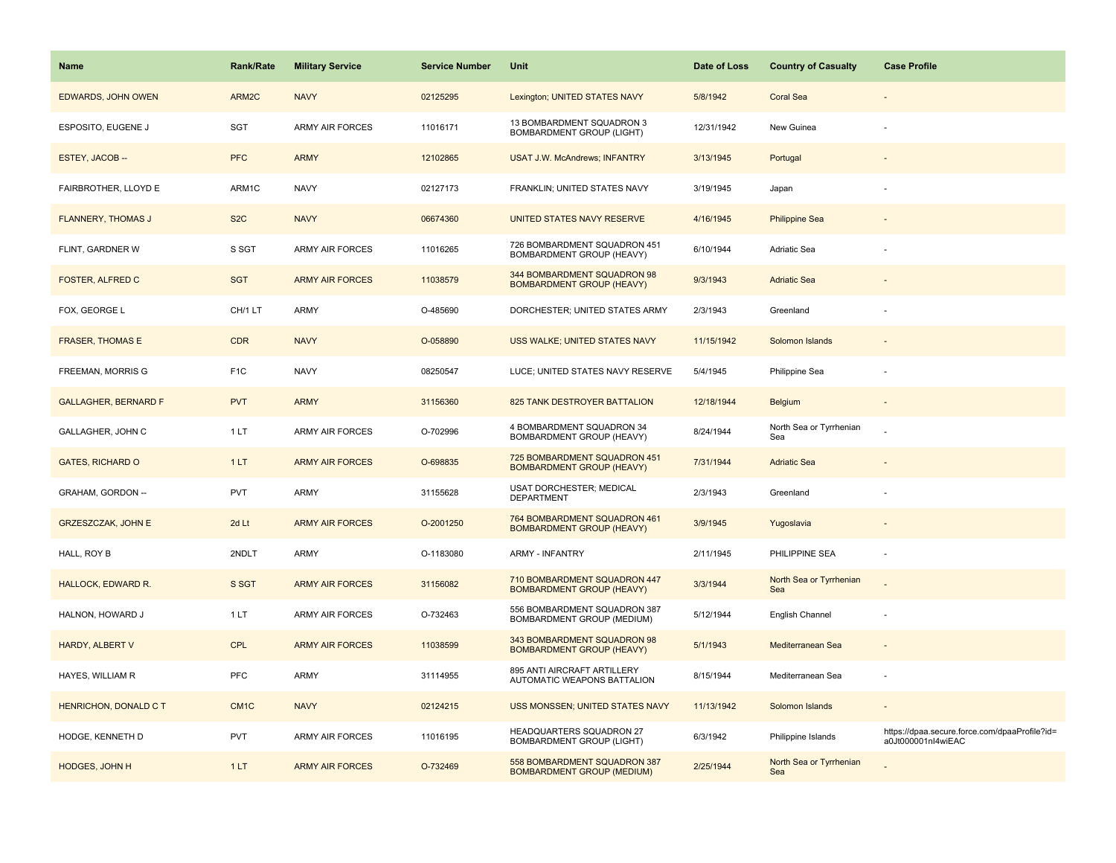| Name                         | <b>Rank/Rate</b>  | <b>Military Service</b> | <b>Service Number</b> | Unit                                                              | Date of Loss | <b>Country of Casualty</b>     | <b>Case Profile</b>                                                 |
|------------------------------|-------------------|-------------------------|-----------------------|-------------------------------------------------------------------|--------------|--------------------------------|---------------------------------------------------------------------|
| <b>EDWARDS, JOHN OWEN</b>    | ARM2C             | <b>NAVY</b>             | 02125295              | Lexington; UNITED STATES NAVY                                     | 5/8/1942     | <b>Coral Sea</b>               |                                                                     |
| ESPOSITO, EUGENE J           | SGT               | ARMY AIR FORCES         | 11016171              | 13 BOMBARDMENT SQUADRON 3<br><b>BOMBARDMENT GROUP (LIGHT)</b>     | 12/31/1942   | New Guinea                     |                                                                     |
| ESTEY, JACOB-                | <b>PFC</b>        | <b>ARMY</b>             | 12102865              | <b>USAT J.W. McAndrews; INFANTRY</b>                              | 3/13/1945    | Portugal                       |                                                                     |
| FAIRBROTHER, LLOYD E         | ARM1C             | <b>NAVY</b>             | 02127173              | FRANKLIN; UNITED STATES NAVY                                      | 3/19/1945    | Japan                          |                                                                     |
| <b>FLANNERY, THOMAS J</b>    | S <sub>2</sub> C  | <b>NAVY</b>             | 06674360              | UNITED STATES NAVY RESERVE                                        | 4/16/1945    | <b>Philippine Sea</b>          |                                                                     |
| FLINT, GARDNER W             | S SGT             | <b>ARMY AIR FORCES</b>  | 11016265              | 726 BOMBARDMENT SQUADRON 451<br>BOMBARDMENT GROUP (HEAVY)         | 6/10/1944    | Adriatic Sea                   |                                                                     |
| FOSTER, ALFRED C             | <b>SGT</b>        | <b>ARMY AIR FORCES</b>  | 11038579              | 344 BOMBARDMENT SQUADRON 98<br><b>BOMBARDMENT GROUP (HEAVY)</b>   | 9/3/1943     | <b>Adriatic Sea</b>            |                                                                     |
| FOX, GEORGE L                | CH/1 LT           | <b>ARMY</b>             | O-485690              | DORCHESTER; UNITED STATES ARMY                                    | 2/3/1943     | Greenland                      |                                                                     |
| <b>FRASER, THOMAS E</b>      | <b>CDR</b>        | <b>NAVY</b>             | O-058890              | USS WALKE; UNITED STATES NAVY                                     | 11/15/1942   | Solomon Islands                |                                                                     |
| FREEMAN, MORRIS G            | F <sub>1</sub> C  | <b>NAVY</b>             | 08250547              | LUCE; UNITED STATES NAVY RESERVE                                  | 5/4/1945     | Philippine Sea                 |                                                                     |
| <b>GALLAGHER, BERNARD F</b>  | <b>PVT</b>        | <b>ARMY</b>             | 31156360              | 825 TANK DESTROYER BATTALION                                      | 12/18/1944   | Belgium                        |                                                                     |
| GALLAGHER, JOHN C            | 1LT               | ARMY AIR FORCES         | O-702996              | 4 BOMBARDMENT SQUADRON 34<br>BOMBARDMENT GROUP (HEAVY)            | 8/24/1944    | North Sea or Tyrrhenian<br>Sea |                                                                     |
| <b>GATES, RICHARD O</b>      | 1LT               | <b>ARMY AIR FORCES</b>  | O-698835              | 725 BOMBARDMENT SQUADRON 451<br><b>BOMBARDMENT GROUP (HEAVY)</b>  | 7/31/1944    | <b>Adriatic Sea</b>            |                                                                     |
| GRAHAM, GORDON --            | <b>PVT</b>        | ARMY                    | 31155628              | USAT DORCHESTER; MEDICAL<br><b>DEPARTMENT</b>                     | 2/3/1943     | Greenland                      |                                                                     |
| <b>GRZESZCZAK, JOHN E</b>    | 2d Lt             | <b>ARMY AIR FORCES</b>  | O-2001250             | 764 BOMBARDMENT SQUADRON 461<br><b>BOMBARDMENT GROUP (HEAVY)</b>  | 3/9/1945     | Yugoslavia                     |                                                                     |
| HALL, ROY B                  | 2NDLT             | ARMY                    | O-1183080             | <b>ARMY - INFANTRY</b>                                            | 2/11/1945    | PHILIPPINE SEA                 | $\overline{\phantom{a}}$                                            |
| <b>HALLOCK, EDWARD R.</b>    | S SGT             | <b>ARMY AIR FORCES</b>  | 31156082              | 710 BOMBARDMENT SQUADRON 447<br><b>BOMBARDMENT GROUP (HEAVY)</b>  | 3/3/1944     | North Sea or Tyrrhenian<br>Sea |                                                                     |
| HALNON, HOWARD J             | 1LT               | ARMY AIR FORCES         | O-732463              | 556 BOMBARDMENT SQUADRON 387<br>BOMBARDMENT GROUP (MEDIUM)        | 5/12/1944    | English Channel                | $\sim$                                                              |
| <b>HARDY, ALBERT V</b>       | <b>CPL</b>        | <b>ARMY AIR FORCES</b>  | 11038599              | 343 BOMBARDMENT SQUADRON 98<br><b>BOMBARDMENT GROUP (HEAVY)</b>   | 5/1/1943     | Mediterranean Sea              |                                                                     |
| HAYES, WILLIAM R             | PFC               | ARMY                    | 31114955              | 895 ANTI AIRCRAFT ARTILLERY<br>AUTOMATIC WEAPONS BATTALION        | 8/15/1944    | Mediterranean Sea              |                                                                     |
| <b>HENRICHON, DONALD C T</b> | CM <sub>1</sub> C | <b>NAVY</b>             | 02124215              | USS MONSSEN; UNITED STATES NAVY                                   | 11/13/1942   | Solomon Islands                |                                                                     |
| HODGE, KENNETH D             | <b>PVT</b>        | <b>ARMY AIR FORCES</b>  | 11016195              | HEADQUARTERS SQUADRON 27<br><b>BOMBARDMENT GROUP (LIGHT)</b>      | 6/3/1942     | Philippine Islands             | https://dpaa.secure.force.com/dpaaProfile?id=<br>a0Jt000001nl4wiEAC |
| HODGES, JOHN H               | 1LT               | <b>ARMY AIR FORCES</b>  | O-732469              | 558 BOMBARDMENT SQUADRON 387<br><b>BOMBARDMENT GROUP (MEDIUM)</b> | 2/25/1944    | North Sea or Tyrrhenian<br>Sea |                                                                     |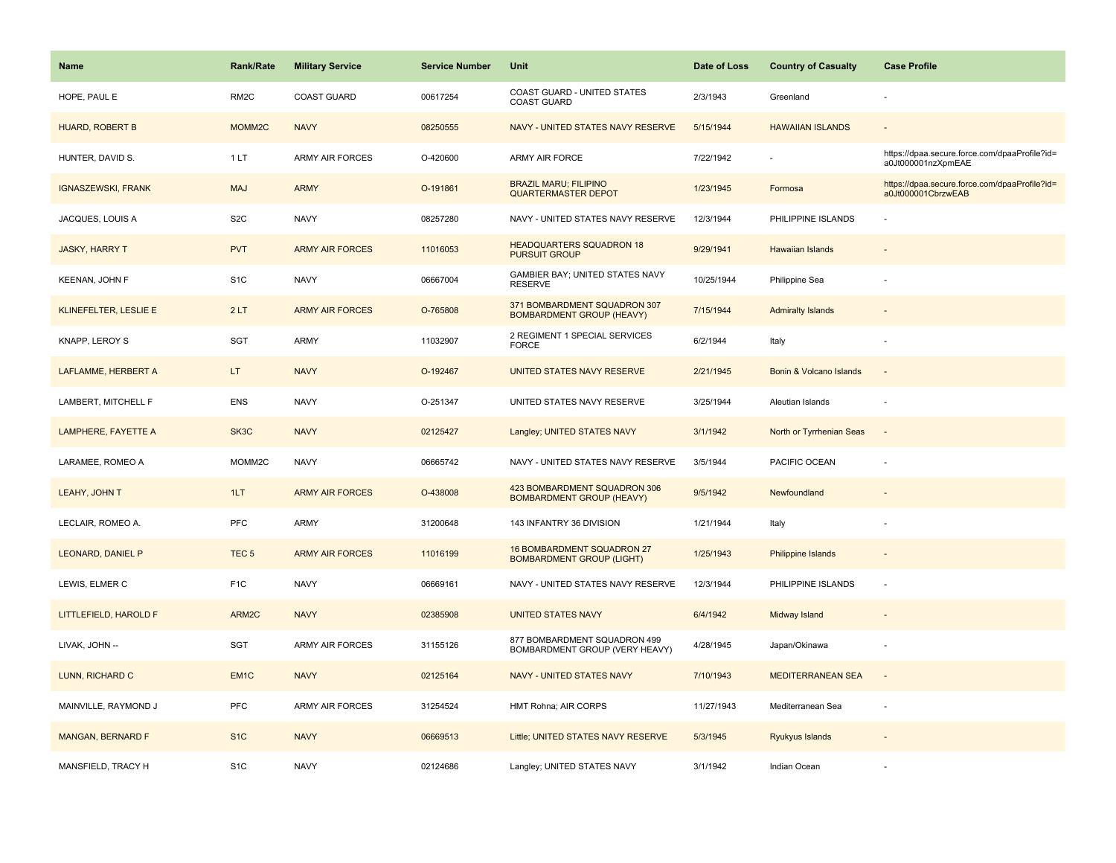| <b>Name</b>               | <b>Rank/Rate</b>  | <b>Military Service</b> | <b>Service Number</b> | Unit                                                                  | Date of Loss | <b>Country of Casualty</b> | <b>Case Profile</b>                                                 |
|---------------------------|-------------------|-------------------------|-----------------------|-----------------------------------------------------------------------|--------------|----------------------------|---------------------------------------------------------------------|
| HOPE, PAUL E              | RM <sub>2</sub> C | <b>COAST GUARD</b>      | 00617254              | COAST GUARD - UNITED STATES<br>COAST GUARD                            | 2/3/1943     | Greenland                  |                                                                     |
| <b>HUARD, ROBERT B</b>    | MOMM2C            | <b>NAVY</b>             | 08250555              | NAVY - UNITED STATES NAVY RESERVE                                     | 5/15/1944    | <b>HAWAIIAN ISLANDS</b>    |                                                                     |
| HUNTER, DAVID S.          | 1LT               | <b>ARMY AIR FORCES</b>  | O-420600              | <b>ARMY AIR FORCE</b>                                                 | 7/22/1942    |                            | https://dpaa.secure.force.com/dpaaProfile?id=<br>a0Jt000001nzXpmEAE |
| <b>IGNASZEWSKI, FRANK</b> | <b>MAJ</b>        | <b>ARMY</b>             | O-191861              | <b>BRAZIL MARU; FILIPINO</b><br><b>QUARTERMASTER DEPOT</b>            | 1/23/1945    | Formosa                    | https://dpaa.secure.force.com/dpaaProfile?id=<br>a0Jt000001CbrzwEAB |
| JACQUES, LOUIS A          | S <sub>2</sub> C  | <b>NAVY</b>             | 08257280              | NAVY - UNITED STATES NAVY RESERVE                                     | 12/3/1944    | PHILIPPINE ISLANDS         |                                                                     |
| <b>JASKY, HARRY T</b>     | <b>PVT</b>        | <b>ARMY AIR FORCES</b>  | 11016053              | <b>HEADQUARTERS SQUADRON 18</b><br><b>PURSUIT GROUP</b>               | 9/29/1941    | Hawaiian Islands           |                                                                     |
| KEENAN, JOHN F            | S <sub>1</sub> C  | <b>NAVY</b>             | 06667004              | GAMBIER BAY; UNITED STATES NAVY<br><b>RESERVE</b>                     | 10/25/1944   | Philippine Sea             |                                                                     |
| KLINEFELTER, LESLIE E     | 2LT               | <b>ARMY AIR FORCES</b>  | O-765808              | 371 BOMBARDMENT SQUADRON 307<br><b>BOMBARDMENT GROUP (HEAVY)</b>      | 7/15/1944    | <b>Admiralty Islands</b>   |                                                                     |
| KNAPP, LEROY S            | SGT               | ARMY                    | 11032907              | 2 REGIMENT 1 SPECIAL SERVICES<br><b>FORCE</b>                         | 6/2/1944     | Italy                      |                                                                     |
| LAFLAMME, HERBERT A       | LT.               | <b>NAVY</b>             | O-192467              | UNITED STATES NAVY RESERVE                                            | 2/21/1945    | Bonin & Volcano Islands    |                                                                     |
| LAMBERT, MITCHELL F       | ENS               | <b>NAVY</b>             | O-251347              | UNITED STATES NAVY RESERVE                                            | 3/25/1944    | Aleutian Islands           |                                                                     |
| LAMPHERE, FAYETTE A       | SK3C              | <b>NAVY</b>             | 02125427              | Langley; UNITED STATES NAVY                                           | 3/1/1942     | North or Tyrrhenian Seas   | $\sim$                                                              |
| LARAMEE, ROMEO A          | MOMM2C            | <b>NAVY</b>             | 06665742              | NAVY - UNITED STATES NAVY RESERVE                                     | 3/5/1944     | PACIFIC OCEAN              |                                                                     |
| LEAHY, JOHN T             | 1LT               | <b>ARMY AIR FORCES</b>  | O-438008              | 423 BOMBARDMENT SQUADRON 306<br><b>BOMBARDMENT GROUP (HEAVY)</b>      | 9/5/1942     | Newfoundland               |                                                                     |
| LECLAIR, ROMEO A.         | <b>PFC</b>        | ARMY                    | 31200648              | 143 INFANTRY 36 DIVISION                                              | 1/21/1944    | Italy                      |                                                                     |
| LEONARD, DANIEL P         | TEC <sub>5</sub>  | <b>ARMY AIR FORCES</b>  | 11016199              | <b>16 BOMBARDMENT SQUADRON 27</b><br><b>BOMBARDMENT GROUP (LIGHT)</b> | 1/25/1943    | Philippine Islands         |                                                                     |
| LEWIS, ELMER C            | F <sub>1C</sub>   | <b>NAVY</b>             | 06669161              | NAVY - UNITED STATES NAVY RESERVE                                     | 12/3/1944    | PHILIPPINE ISLANDS         |                                                                     |
| LITTLEFIELD, HAROLD F     | ARM2C             | <b>NAVY</b>             | 02385908              | <b>UNITED STATES NAVY</b>                                             | 6/4/1942     | Midway Island              |                                                                     |
| LIVAK, JOHN --            | <b>SGT</b>        | ARMY AIR FORCES         | 31155126              | 877 BOMBARDMENT SQUADRON 499<br>BOMBARDMENT GROUP (VERY HEAVY)        | 4/28/1945    | Japan/Okinawa              |                                                                     |
| LUNN, RICHARD C           | EM <sub>1C</sub>  | <b>NAVY</b>             | 02125164              | <b>NAVY - UNITED STATES NAVY</b>                                      | 7/10/1943    | <b>MEDITERRANEAN SEA</b>   | $\sim$                                                              |
| MAINVILLE, RAYMOND J      | <b>PFC</b>        | <b>ARMY AIR FORCES</b>  | 31254524              | HMT Rohna; AIR CORPS                                                  | 11/27/1943   | Mediterranean Sea          |                                                                     |
| <b>MANGAN, BERNARD F</b>  | S <sub>1C</sub>   | <b>NAVY</b>             | 06669513              | Little; UNITED STATES NAVY RESERVE                                    | 5/3/1945     | Ryukyus Islands            |                                                                     |
| MANSFIELD, TRACY H        | S <sub>1</sub> C  | <b>NAVY</b>             | 02124686              | Langley; UNITED STATES NAVY                                           | 3/1/1942     | Indian Ocean               |                                                                     |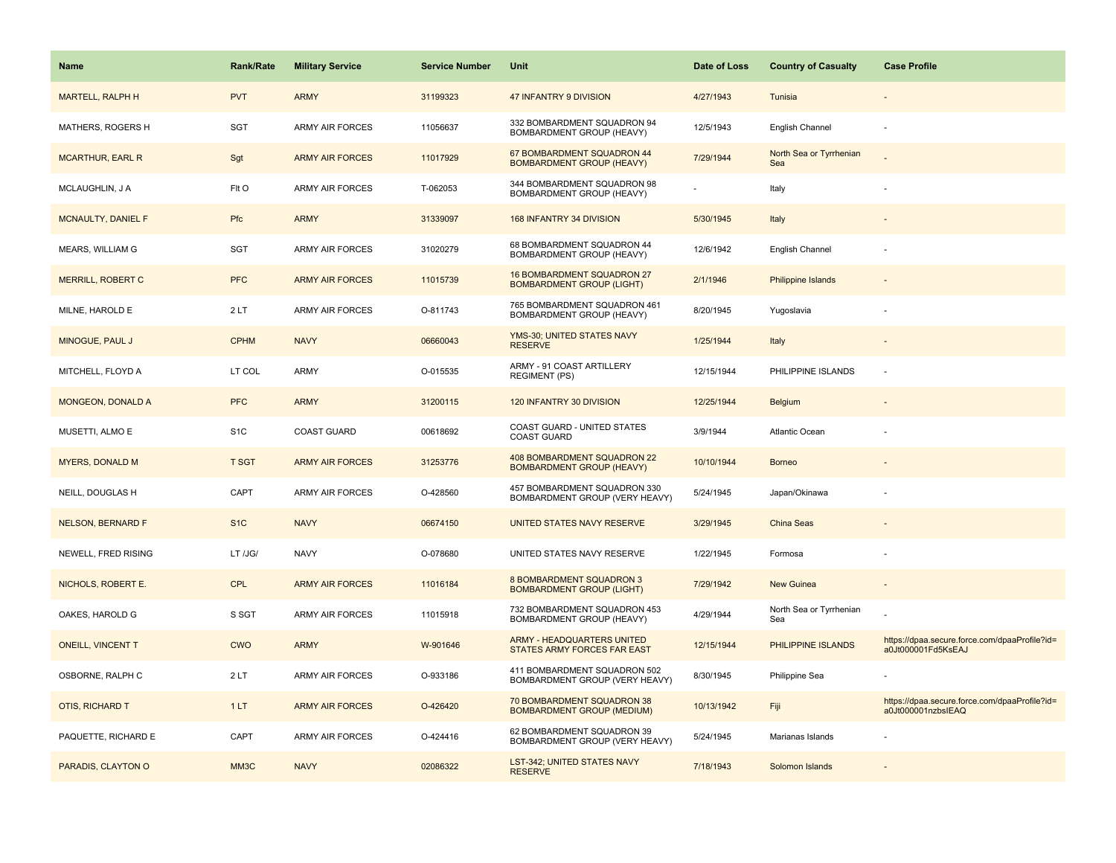| <b>Name</b>               | <b>Rank/Rate</b> | <b>Military Service</b> | <b>Service Number</b> | Unit                                                            | Date of Loss | <b>Country of Casualty</b>     | <b>Case Profile</b>                                                 |
|---------------------------|------------------|-------------------------|-----------------------|-----------------------------------------------------------------|--------------|--------------------------------|---------------------------------------------------------------------|
| <b>MARTELL, RALPH H</b>   | <b>PVT</b>       | <b>ARMY</b>             | 31199323              | 47 INFANTRY 9 DIVISION                                          | 4/27/1943    | Tunisia                        |                                                                     |
| MATHERS, ROGERS H         | SGT              | ARMY AIR FORCES         | 11056637              | 332 BOMBARDMENT SQUADRON 94<br>BOMBARDMENT GROUP (HEAVY)        | 12/5/1943    | English Channel                |                                                                     |
| <b>MCARTHUR, EARL R</b>   | Sgt              | <b>ARMY AIR FORCES</b>  | 11017929              | 67 BOMBARDMENT SQUADRON 44<br><b>BOMBARDMENT GROUP (HEAVY)</b>  | 7/29/1944    | North Sea or Tyrrhenian<br>Sea |                                                                     |
| MCLAUGHLIN, J A           | FIt O            | <b>ARMY AIR FORCES</b>  | T-062053              | 344 BOMBARDMENT SQUADRON 98<br>BOMBARDMENT GROUP (HEAVY)        |              | Italy                          |                                                                     |
| <b>MCNAULTY, DANIEL F</b> | Pfc              | <b>ARMY</b>             | 31339097              | 168 INFANTRY 34 DIVISION                                        | 5/30/1945    | Italy                          |                                                                     |
| MEARS, WILLIAM G          | SGT              | <b>ARMY AIR FORCES</b>  | 31020279              | 68 BOMBARDMENT SQUADRON 44<br>BOMBARDMENT GROUP (HEAVY)         | 12/6/1942    | English Channel                |                                                                     |
| <b>MERRILL, ROBERT C</b>  | <b>PFC</b>       | <b>ARMY AIR FORCES</b>  | 11015739              | 16 BOMBARDMENT SQUADRON 27<br><b>BOMBARDMENT GROUP (LIGHT)</b>  | 2/1/1946     | <b>Philippine Islands</b>      |                                                                     |
| MILNE, HAROLD E           | 2LT              | <b>ARMY AIR FORCES</b>  | O-811743              | 765 BOMBARDMENT SQUADRON 461<br>BOMBARDMENT GROUP (HEAVY)       | 8/20/1945    | Yugoslavia                     |                                                                     |
| MINOGUE, PAUL J           | <b>CPHM</b>      | <b>NAVY</b>             | 06660043              | YMS-30; UNITED STATES NAVY<br><b>RESERVE</b>                    | 1/25/1944    | Italy                          |                                                                     |
| MITCHELL, FLOYD A         | LT COL           | ARMY                    | O-015535              | ARMY - 91 COAST ARTILLERY<br><b>REGIMENT (PS)</b>               | 12/15/1944   | PHILIPPINE ISLANDS             |                                                                     |
| <b>MONGEON, DONALD A</b>  | <b>PFC</b>       | <b>ARMY</b>             | 31200115              | 120 INFANTRY 30 DIVISION                                        | 12/25/1944   | Belgium                        |                                                                     |
| MUSETTI, ALMO E           | S <sub>1</sub> C | <b>COAST GUARD</b>      | 00618692              | COAST GUARD - UNITED STATES<br><b>COAST GUARD</b>               | 3/9/1944     | Atlantic Ocean                 |                                                                     |
| <b>MYERS, DONALD M</b>    | <b>T SGT</b>     | <b>ARMY AIR FORCES</b>  | 31253776              | 408 BOMBARDMENT SQUADRON 22<br><b>BOMBARDMENT GROUP (HEAVY)</b> | 10/10/1944   | <b>Borneo</b>                  |                                                                     |
| NEILL, DOUGLAS H          | CAPT             | <b>ARMY AIR FORCES</b>  | O-428560              | 457 BOMBARDMENT SQUADRON 330<br>BOMBARDMENT GROUP (VERY HEAVY)  | 5/24/1945    | Japan/Okinawa                  |                                                                     |
| <b>NELSON, BERNARD F</b>  | S <sub>1</sub> C | <b>NAVY</b>             | 06674150              | UNITED STATES NAVY RESERVE                                      | 3/29/1945    | China Seas                     |                                                                     |
| NEWELL, FRED RISING       | LT /JG/          | <b>NAVY</b>             | O-078680              | UNITED STATES NAVY RESERVE                                      | 1/22/1945    | Formosa                        |                                                                     |
| NICHOLS, ROBERT E.        | <b>CPL</b>       | <b>ARMY AIR FORCES</b>  | 11016184              | 8 BOMBARDMENT SQUADRON 3<br><b>BOMBARDMENT GROUP (LIGHT)</b>    | 7/29/1942    | New Guinea                     |                                                                     |
| OAKES, HAROLD G           | S SGT            | <b>ARMY AIR FORCES</b>  | 11015918              | 732 BOMBARDMENT SQUADRON 453<br>BOMBARDMENT GROUP (HEAVY)       | 4/29/1944    | North Sea or Tyrrhenian<br>Sea |                                                                     |
| <b>ONEILL, VINCENT T</b>  | <b>CWO</b>       | <b>ARMY</b>             | W-901646              | ARMY - HEADQUARTERS UNITED<br>STATES ARMY FORCES FAR EAST       | 12/15/1944   | PHILIPPINE ISLANDS             | https://dpaa.secure.force.com/dpaaProfile?id=<br>a0Jt000001Fd5KsEAJ |
| OSBORNE, RALPH C          | 2LT              | <b>ARMY AIR FORCES</b>  | O-933186              | 411 BOMBARDMENT SQUADRON 502<br>BOMBARDMENT GROUP (VERY HEAVY)  | 8/30/1945    | Philippine Sea                 |                                                                     |
| OTIS, RICHARD T           | 1LT              | <b>ARMY AIR FORCES</b>  | O-426420              | 70 BOMBARDMENT SQUADRON 38<br><b>BOMBARDMENT GROUP (MEDIUM)</b> | 10/13/1942   | Fiji                           | https://dpaa.secure.force.com/dpaaProfile?id=<br>a0Jt000001nzbsIEAQ |
| PAQUETTE, RICHARD E       | CAPT             | <b>ARMY AIR FORCES</b>  | O-424416              | 62 BOMBARDMENT SQUADRON 39<br>BOMBARDMENT GROUP (VERY HEAVY)    | 5/24/1945    | Marianas Islands               |                                                                     |
| PARADIS, CLAYTON O        | MM3C             | <b>NAVY</b>             | 02086322              | LST-342; UNITED STATES NAVY<br><b>RESERVE</b>                   | 7/18/1943    | Solomon Islands                |                                                                     |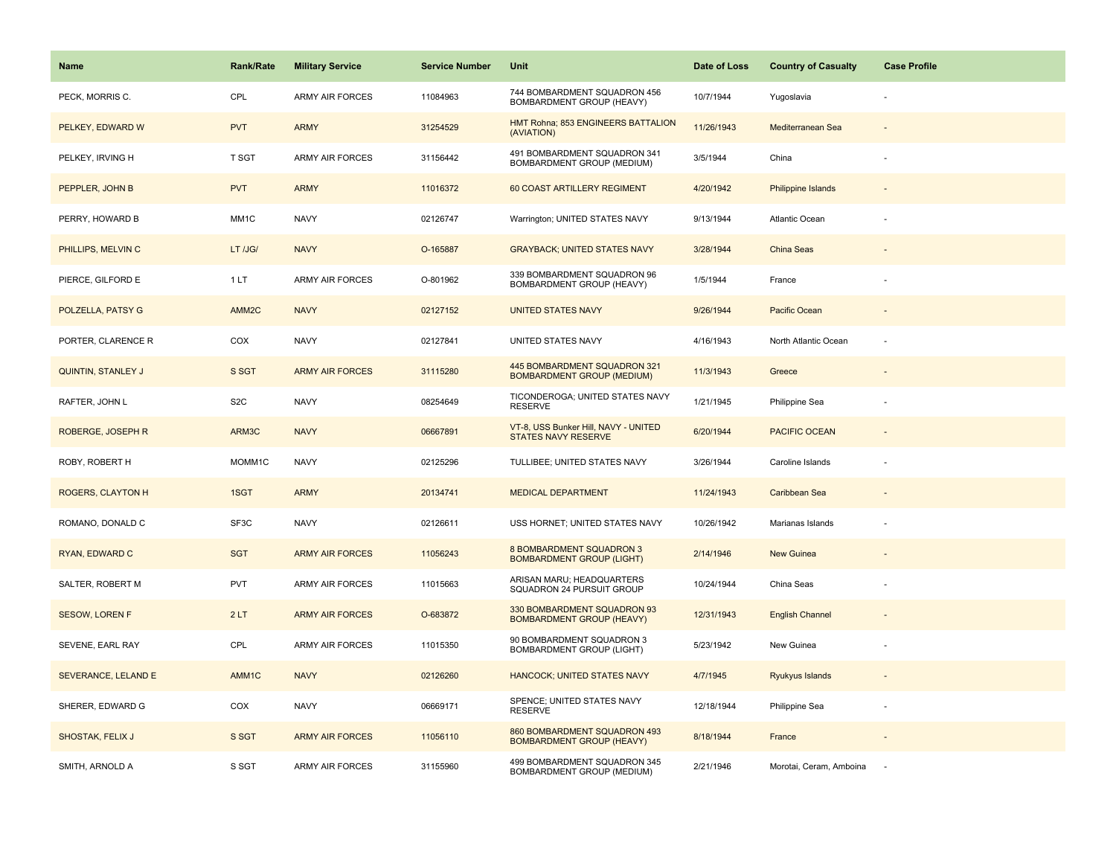| Name                     | <b>Rank/Rate</b>    | <b>Military Service</b> | <b>Service Number</b> | Unit                                                               | Date of Loss | <b>Country of Casualty</b> | <b>Case Profile</b> |
|--------------------------|---------------------|-------------------------|-----------------------|--------------------------------------------------------------------|--------------|----------------------------|---------------------|
| PECK, MORRIS C.          | CPL                 | <b>ARMY AIR FORCES</b>  | 11084963              | 744 BOMBARDMENT SQUADRON 456<br>BOMBARDMENT GROUP (HEAVY)          | 10/7/1944    | Yugoslavia                 |                     |
| PELKEY, EDWARD W         | <b>PVT</b>          | <b>ARMY</b>             | 31254529              | HMT Rohna; 853 ENGINEERS BATTALION<br>(AVIATION)                   | 11/26/1943   | Mediterranean Sea          |                     |
| PELKEY, IRVING H         | <b>T SGT</b>        | <b>ARMY AIR FORCES</b>  | 31156442              | 491 BOMBARDMENT SQUADRON 341<br><b>BOMBARDMENT GROUP (MEDIUM)</b>  | 3/5/1944     | China                      |                     |
| PEPPLER, JOHN B          | <b>PVT</b>          | <b>ARMY</b>             | 11016372              | 60 COAST ARTILLERY REGIMENT                                        | 4/20/1942    | <b>Philippine Islands</b>  |                     |
| PERRY, HOWARD B          | MM <sub>1</sub> C   | <b>NAVY</b>             | 02126747              | Warrington; UNITED STATES NAVY                                     | 9/13/1944    | Atlantic Ocean             |                     |
| PHILLIPS, MELVIN C       | LT /JG/             | <b>NAVY</b>             | O-165887              | <b>GRAYBACK; UNITED STATES NAVY</b>                                | 3/28/1944    | China Seas                 |                     |
| PIERCE, GILFORD E        | 1LT                 | <b>ARMY AIR FORCES</b>  | O-801962              | 339 BOMBARDMENT SQUADRON 96<br>BOMBARDMENT GROUP (HEAVY)           | 1/5/1944     | France                     |                     |
| POLZELLA, PATSY G        | AMM <sub>2C</sub>   | <b>NAVY</b>             | 02127152              | <b>UNITED STATES NAVY</b>                                          | 9/26/1944    | Pacific Ocean              |                     |
| PORTER, CLARENCE R       | COX                 | <b>NAVY</b>             | 02127841              | UNITED STATES NAVY                                                 | 4/16/1943    | North Atlantic Ocean       |                     |
| QUINTIN, STANLEY J       | S SGT               | <b>ARMY AIR FORCES</b>  | 31115280              | 445 BOMBARDMENT SQUADRON 321<br><b>BOMBARDMENT GROUP (MEDIUM)</b>  | 11/3/1943    | Greece                     |                     |
| RAFTER, JOHN L           | S <sub>2</sub> C    | <b>NAVY</b>             | 08254649              | TICONDEROGA; UNITED STATES NAVY<br><b>RESERVE</b>                  | 1/21/1945    | Philippine Sea             |                     |
| ROBERGE, JOSEPH R        | ARM3C               | <b>NAVY</b>             | 06667891              | VT-8, USS Bunker Hill, NAVY - UNITED<br><b>STATES NAVY RESERVE</b> | 6/20/1944    | PACIFIC OCEAN              | $\blacksquare$      |
| ROBY, ROBERT H           | MOMM <sub>1</sub> C | <b>NAVY</b>             | 02125296              | TULLIBEE; UNITED STATES NAVY                                       | 3/26/1944    | Caroline Islands           |                     |
| <b>ROGERS, CLAYTON H</b> | 1SGT                | <b>ARMY</b>             | 20134741              | <b>MEDICAL DEPARTMENT</b>                                          | 11/24/1943   | Caribbean Sea              |                     |
| ROMANO, DONALD C         | SF3C                | <b>NAVY</b>             | 02126611              | USS HORNET; UNITED STATES NAVY                                     | 10/26/1942   | Marianas Islands           | ÷,                  |
| RYAN, EDWARD C           | <b>SGT</b>          | <b>ARMY AIR FORCES</b>  | 11056243              | 8 BOMBARDMENT SQUADRON 3<br><b>BOMBARDMENT GROUP (LIGHT)</b>       | 2/14/1946    | New Guinea                 |                     |
| SALTER, ROBERT M         | PVT                 | ARMY AIR FORCES         | 11015663              | ARISAN MARU; HEADQUARTERS<br>SQUADRON 24 PURSUIT GROUP             | 10/24/1944   | China Seas                 |                     |
| <b>SESOW, LOREN F</b>    | 2LT                 | <b>ARMY AIR FORCES</b>  | O-683872              | 330 BOMBARDMENT SQUADRON 93<br><b>BOMBARDMENT GROUP (HEAVY)</b>    | 12/31/1943   | <b>English Channel</b>     |                     |
| SEVENE, EARL RAY         | CPL                 | <b>ARMY AIR FORCES</b>  | 11015350              | 90 BOMBARDMENT SQUADRON 3<br>BOMBARDMENT GROUP (LIGHT)             | 5/23/1942    | New Guinea                 |                     |
| SEVERANCE, LELAND E      | AMM1C               | <b>NAVY</b>             | 02126260              | <b>HANCOCK; UNITED STATES NAVY</b>                                 | 4/7/1945     | Ryukyus Islands            |                     |
| SHERER, EDWARD G         | COX                 | <b>NAVY</b>             | 06669171              | SPENCE; UNITED STATES NAVY<br><b>RESERVE</b>                       | 12/18/1944   | Philippine Sea             |                     |
| SHOSTAK, FELIX J         | S SGT               | <b>ARMY AIR FORCES</b>  | 11056110              | 860 BOMBARDMENT SQUADRON 493<br><b>BOMBARDMENT GROUP (HEAVY)</b>   | 8/18/1944    | France                     |                     |
| SMITH, ARNOLD A          | S SGT               | <b>ARMY AIR FORCES</b>  | 31155960              | 499 BOMBARDMENT SQUADRON 345<br>BOMBARDMENT GROUP (MEDIUM)         | 2/21/1946    | Morotai, Ceram, Amboina    |                     |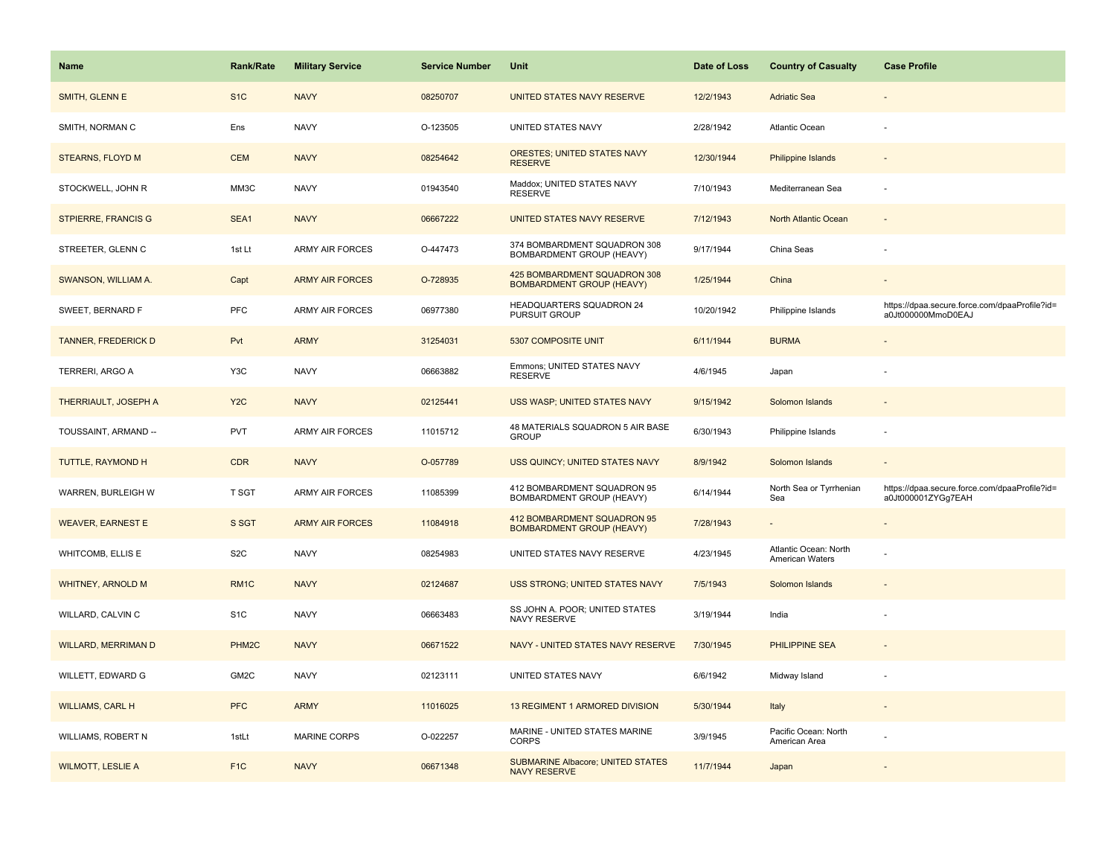| Name                       | <b>Rank/Rate</b>   | <b>Military Service</b> | <b>Service Number</b> | Unit                                                             | Date of Loss | <b>Country of Casualty</b>                      | <b>Case Profile</b>                                                 |
|----------------------------|--------------------|-------------------------|-----------------------|------------------------------------------------------------------|--------------|-------------------------------------------------|---------------------------------------------------------------------|
| SMITH, GLENN E             | S <sub>1</sub> C   | <b>NAVY</b>             | 08250707              | UNITED STATES NAVY RESERVE                                       | 12/2/1943    | <b>Adriatic Sea</b>                             |                                                                     |
| SMITH, NORMAN C            | Ens                | <b>NAVY</b>             | O-123505              | UNITED STATES NAVY                                               | 2/28/1942    | Atlantic Ocean                                  |                                                                     |
| <b>STEARNS, FLOYD M</b>    | <b>CEM</b>         | <b>NAVY</b>             | 08254642              | <b>ORESTES; UNITED STATES NAVY</b><br><b>RESERVE</b>             | 12/30/1944   | <b>Philippine Islands</b>                       |                                                                     |
| STOCKWELL, JOHN R          | MM3C               | <b>NAVY</b>             | 01943540              | Maddox; UNITED STATES NAVY<br><b>RESERVE</b>                     | 7/10/1943    | Mediterranean Sea                               |                                                                     |
| <b>STPIERRE, FRANCIS G</b> | SEA1               | <b>NAVY</b>             | 06667222              | UNITED STATES NAVY RESERVE                                       | 7/12/1943    | North Atlantic Ocean                            |                                                                     |
| STREETER, GLENN C          | 1st Lt             | <b>ARMY AIR FORCES</b>  | O-447473              | 374 BOMBARDMENT SQUADRON 308<br>BOMBARDMENT GROUP (HEAVY)        | 9/17/1944    | China Seas                                      |                                                                     |
| SWANSON, WILLIAM A.        | Capt               | <b>ARMY AIR FORCES</b>  | O-728935              | 425 BOMBARDMENT SQUADRON 308<br><b>BOMBARDMENT GROUP (HEAVY)</b> | 1/25/1944    | China                                           |                                                                     |
| SWEET, BERNARD F           | <b>PFC</b>         | <b>ARMY AIR FORCES</b>  | 06977380              | HEADQUARTERS SQUADRON 24<br>PURSUIT GROUP                        | 10/20/1942   | Philippine Islands                              | https://dpaa.secure.force.com/dpaaProfile?id=<br>a0Jt000000MmoD0EAJ |
| <b>TANNER, FREDERICK D</b> | Pvt                | <b>ARMY</b>             | 31254031              | 5307 COMPOSITE UNIT                                              | 6/11/1944    | <b>BURMA</b>                                    |                                                                     |
| TERRERI, ARGO A            | Y3C                | <b>NAVY</b>             | 06663882              | Emmons; UNITED STATES NAVY<br><b>RESERVE</b>                     | 4/6/1945     | Japan                                           |                                                                     |
| THERRIAULT, JOSEPH A       | Y <sub>2</sub> C   | <b>NAVY</b>             | 02125441              | USS WASP; UNITED STATES NAVY                                     | 9/15/1942    | Solomon Islands                                 |                                                                     |
| TOUSSAINT, ARMAND --       | <b>PVT</b>         | <b>ARMY AIR FORCES</b>  | 11015712              | 48 MATERIALS SQUADRON 5 AIR BASE<br><b>GROUP</b>                 | 6/30/1943    | Philippine Islands                              |                                                                     |
| TUTTLE, RAYMOND H          | <b>CDR</b>         | <b>NAVY</b>             | O-057789              | USS QUINCY; UNITED STATES NAVY                                   | 8/9/1942     | Solomon Islands                                 |                                                                     |
| WARREN, BURLEIGH W         | T SGT              | <b>ARMY AIR FORCES</b>  | 11085399              | 412 BOMBARDMENT SQUADRON 95<br>BOMBARDMENT GROUP (HEAVY)         | 6/14/1944    | North Sea or Tyrrhenian<br>Sea                  | https://dpaa.secure.force.com/dpaaProfile?id=<br>a0Jt000001ZYGg7EAH |
| <b>WEAVER, EARNEST E</b>   | S SGT              | <b>ARMY AIR FORCES</b>  | 11084918              | 412 BOMBARDMENT SQUADRON 95<br><b>BOMBARDMENT GROUP (HEAVY)</b>  | 7/28/1943    | $\sim$                                          | $\sim$                                                              |
| <b>WHITCOMB, ELLIS E</b>   | S <sub>2</sub> C   | <b>NAVY</b>             | 08254983              | UNITED STATES NAVY RESERVE                                       | 4/23/1945    | Atlantic Ocean: North<br><b>American Waters</b> |                                                                     |
| <b>WHITNEY, ARNOLD M</b>   | RM <sub>1C</sub>   | <b>NAVY</b>             | 02124687              | USS STRONG; UNITED STATES NAVY                                   | 7/5/1943     | Solomon Islands                                 |                                                                     |
| WILLARD, CALVIN C          | S <sub>1</sub> C   | <b>NAVY</b>             | 06663483              | SS JOHN A. POOR; UNITED STATES<br><b>NAVY RESERVE</b>            | 3/19/1944    | India                                           |                                                                     |
| <b>WILLARD, MERRIMAN D</b> | PHM <sub>2</sub> C | <b>NAVY</b>             | 06671522              | NAVY - UNITED STATES NAVY RESERVE                                | 7/30/1945    | <b>PHILIPPINE SEA</b>                           |                                                                     |
| WILLETT, EDWARD G          | GM2C               | <b>NAVY</b>             | 02123111              | UNITED STATES NAVY                                               | 6/6/1942     | Midway Island                                   |                                                                     |
| <b>WILLIAMS, CARL H</b>    | <b>PFC</b>         | <b>ARMY</b>             | 11016025              | <b>13 REGIMENT 1 ARMORED DIVISION</b>                            | 5/30/1944    | Italy                                           |                                                                     |
| WILLIAMS, ROBERT N         | 1stLt              | <b>MARINE CORPS</b>     | O-022257              | MARINE - UNITED STATES MARINE<br><b>CORPS</b>                    | 3/9/1945     | Pacific Ocean: North<br>American Area           |                                                                     |
| <b>WILMOTT, LESLIE A</b>   | F <sub>1</sub> C   | <b>NAVY</b>             | 06671348              | <b>SUBMARINE Albacore; UNITED STATES</b><br><b>NAVY RESERVE</b>  | 11/7/1944    | Japan                                           |                                                                     |